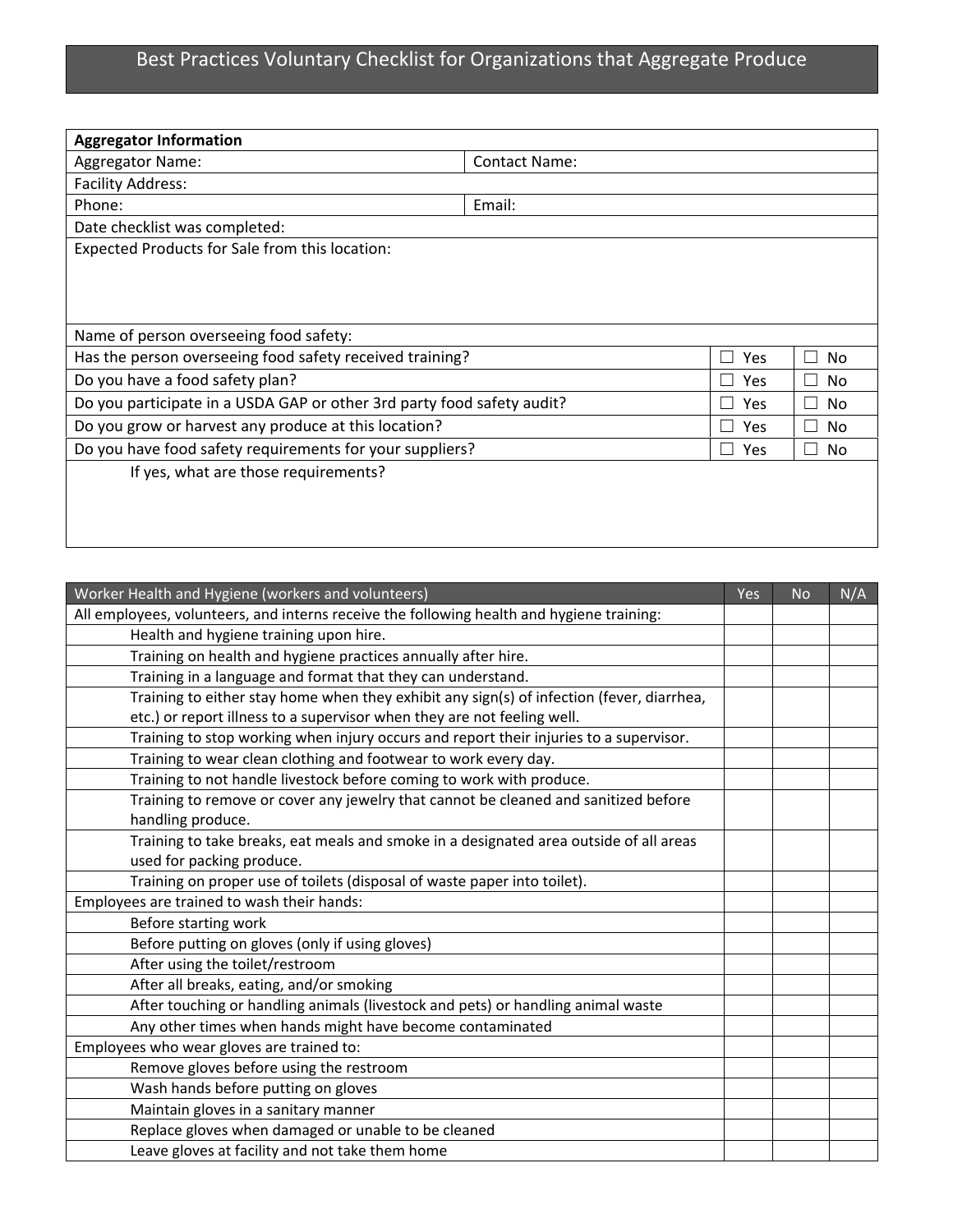## Best Practices Voluntary Checklist for Organizations that Aggregate Produce

| <b>Aggregator Information</b>                                          |                      |                       |                    |
|------------------------------------------------------------------------|----------------------|-----------------------|--------------------|
| Aggregator Name:                                                       | <b>Contact Name:</b> |                       |                    |
| <b>Facility Address:</b>                                               |                      |                       |                    |
| Phone:                                                                 | Email:               |                       |                    |
| Date checklist was completed:                                          |                      |                       |                    |
| Expected Products for Sale from this location:                         |                      |                       |                    |
|                                                                        |                      |                       |                    |
|                                                                        |                      |                       |                    |
|                                                                        |                      |                       |                    |
| Name of person overseeing food safety:                                 |                      |                       |                    |
| Has the person overseeing food safety received training?               |                      | <b>Yes</b><br>$\perp$ | No<br>×            |
| Do you have a food safety plan?                                        |                      | Yes                   | No.<br>×           |
| Do you participate in a USDA GAP or other 3rd party food safety audit? |                      | <b>Yes</b>            | - 1<br>No.         |
| Do you grow or harvest any produce at this location?                   |                      | <b>Yes</b>            | Nο<br>×            |
| Do you have food safety requirements for your suppliers?               |                      | Yes                   | No<br>$\mathbf{I}$ |
| If yes, what are those requirements?                                   |                      |                       |                    |
|                                                                        |                      |                       |                    |
|                                                                        |                      |                       |                    |
|                                                                        |                      |                       |                    |

| Worker Health and Hygiene (workers and volunteers)                                        | Yes | <b>No</b> | N/A |
|-------------------------------------------------------------------------------------------|-----|-----------|-----|
| All employees, volunteers, and interns receive the following health and hygiene training: |     |           |     |
| Health and hygiene training upon hire.                                                    |     |           |     |
| Training on health and hygiene practices annually after hire.                             |     |           |     |
| Training in a language and format that they can understand.                               |     |           |     |
| Training to either stay home when they exhibit any sign(s) of infection (fever, diarrhea, |     |           |     |
| etc.) or report illness to a supervisor when they are not feeling well.                   |     |           |     |
| Training to stop working when injury occurs and report their injuries to a supervisor.    |     |           |     |
| Training to wear clean clothing and footwear to work every day.                           |     |           |     |
| Training to not handle livestock before coming to work with produce.                      |     |           |     |
| Training to remove or cover any jewelry that cannot be cleaned and sanitized before       |     |           |     |
| handling produce.                                                                         |     |           |     |
| Training to take breaks, eat meals and smoke in a designated area outside of all areas    |     |           |     |
| used for packing produce.                                                                 |     |           |     |
| Training on proper use of toilets (disposal of waste paper into toilet).                  |     |           |     |
| Employees are trained to wash their hands:                                                |     |           |     |
| Before starting work                                                                      |     |           |     |
| Before putting on gloves (only if using gloves)                                           |     |           |     |
| After using the toilet/restroom                                                           |     |           |     |
| After all breaks, eating, and/or smoking                                                  |     |           |     |
| After touching or handling animals (livestock and pets) or handling animal waste          |     |           |     |
| Any other times when hands might have become contaminated                                 |     |           |     |
| Employees who wear gloves are trained to:                                                 |     |           |     |
| Remove gloves before using the restroom                                                   |     |           |     |
| Wash hands before putting on gloves                                                       |     |           |     |
| Maintain gloves in a sanitary manner                                                      |     |           |     |
| Replace gloves when damaged or unable to be cleaned                                       |     |           |     |
| Leave gloves at facility and not take them home                                           |     |           |     |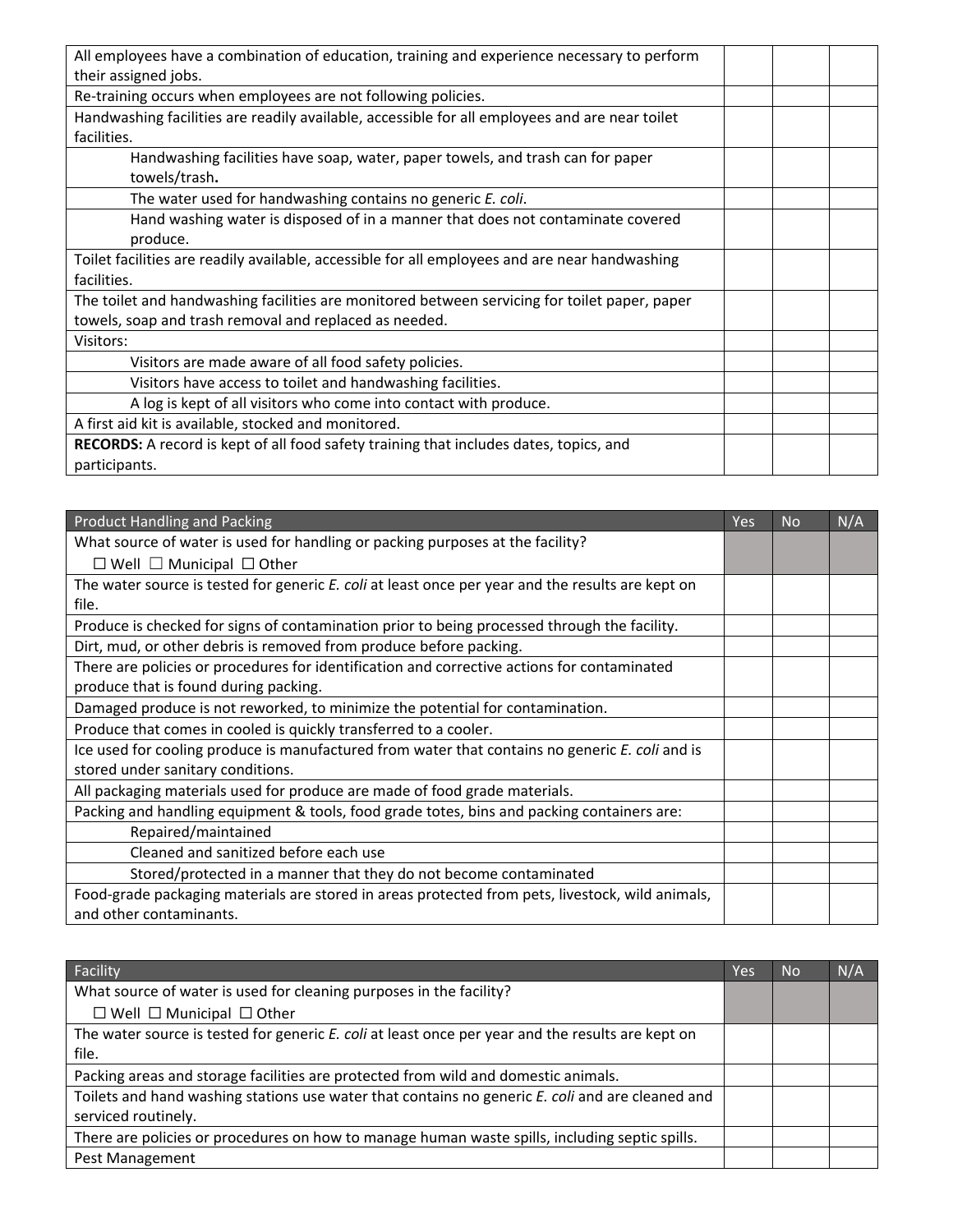| All employees have a combination of education, training and experience necessary to perform    |  |
|------------------------------------------------------------------------------------------------|--|
| their assigned jobs.                                                                           |  |
| Re-training occurs when employees are not following policies.                                  |  |
| Handwashing facilities are readily available, accessible for all employees and are near toilet |  |
| facilities.                                                                                    |  |
| Handwashing facilities have soap, water, paper towels, and trash can for paper                 |  |
| towels/trash.                                                                                  |  |
| The water used for handwashing contains no generic E. coli.                                    |  |
| Hand washing water is disposed of in a manner that does not contaminate covered                |  |
| produce.                                                                                       |  |
| Toilet facilities are readily available, accessible for all employees and are near handwashing |  |
| facilities.                                                                                    |  |
| The toilet and handwashing facilities are monitored between servicing for toilet paper, paper  |  |
| towels, soap and trash removal and replaced as needed.                                         |  |
| Visitors:                                                                                      |  |
| Visitors are made aware of all food safety policies.                                           |  |
| Visitors have access to toilet and handwashing facilities.                                     |  |
| A log is kept of all visitors who come into contact with produce.                              |  |
| A first aid kit is available, stocked and monitored.                                           |  |
| <b>RECORDS:</b> A record is kept of all food safety training that includes dates, topics, and  |  |
| participants.                                                                                  |  |

| <b>Product Handling and Packing</b>                                                               | Yes | <b>No</b> | N/A |
|---------------------------------------------------------------------------------------------------|-----|-----------|-----|
| What source of water is used for handling or packing purposes at the facility?                    |     |           |     |
| $\Box$ Well $\Box$ Municipal $\Box$ Other                                                         |     |           |     |
| The water source is tested for generic E. coli at least once per year and the results are kept on |     |           |     |
| file.                                                                                             |     |           |     |
| Produce is checked for signs of contamination prior to being processed through the facility.      |     |           |     |
| Dirt, mud, or other debris is removed from produce before packing.                                |     |           |     |
| There are policies or procedures for identification and corrective actions for contaminated       |     |           |     |
| produce that is found during packing.                                                             |     |           |     |
| Damaged produce is not reworked, to minimize the potential for contamination.                     |     |           |     |
| Produce that comes in cooled is quickly transferred to a cooler.                                  |     |           |     |
| Ice used for cooling produce is manufactured from water that contains no generic E. coli and is   |     |           |     |
| stored under sanitary conditions.                                                                 |     |           |     |
| All packaging materials used for produce are made of food grade materials.                        |     |           |     |
| Packing and handling equipment & tools, food grade totes, bins and packing containers are:        |     |           |     |
| Repaired/maintained                                                                               |     |           |     |
| Cleaned and sanitized before each use                                                             |     |           |     |
| Stored/protected in a manner that they do not become contaminated                                 |     |           |     |
| Food-grade packaging materials are stored in areas protected from pets, livestock, wild animals,  |     |           |     |
| and other contaminants.                                                                           |     |           |     |

| Facility                                                                                          | Yes | <b>No</b> | N/A |
|---------------------------------------------------------------------------------------------------|-----|-----------|-----|
| What source of water is used for cleaning purposes in the facility?                               |     |           |     |
| $\Box$ Well $\Box$ Municipal $\Box$ Other                                                         |     |           |     |
| The water source is tested for generic E. coli at least once per year and the results are kept on |     |           |     |
| file.                                                                                             |     |           |     |
| Packing areas and storage facilities are protected from wild and domestic animals.                |     |           |     |
| Toilets and hand washing stations use water that contains no generic E. coli and are cleaned and  |     |           |     |
| serviced routinely.                                                                               |     |           |     |
| There are policies or procedures on how to manage human waste spills, including septic spills.    |     |           |     |
| Pest Management                                                                                   |     |           |     |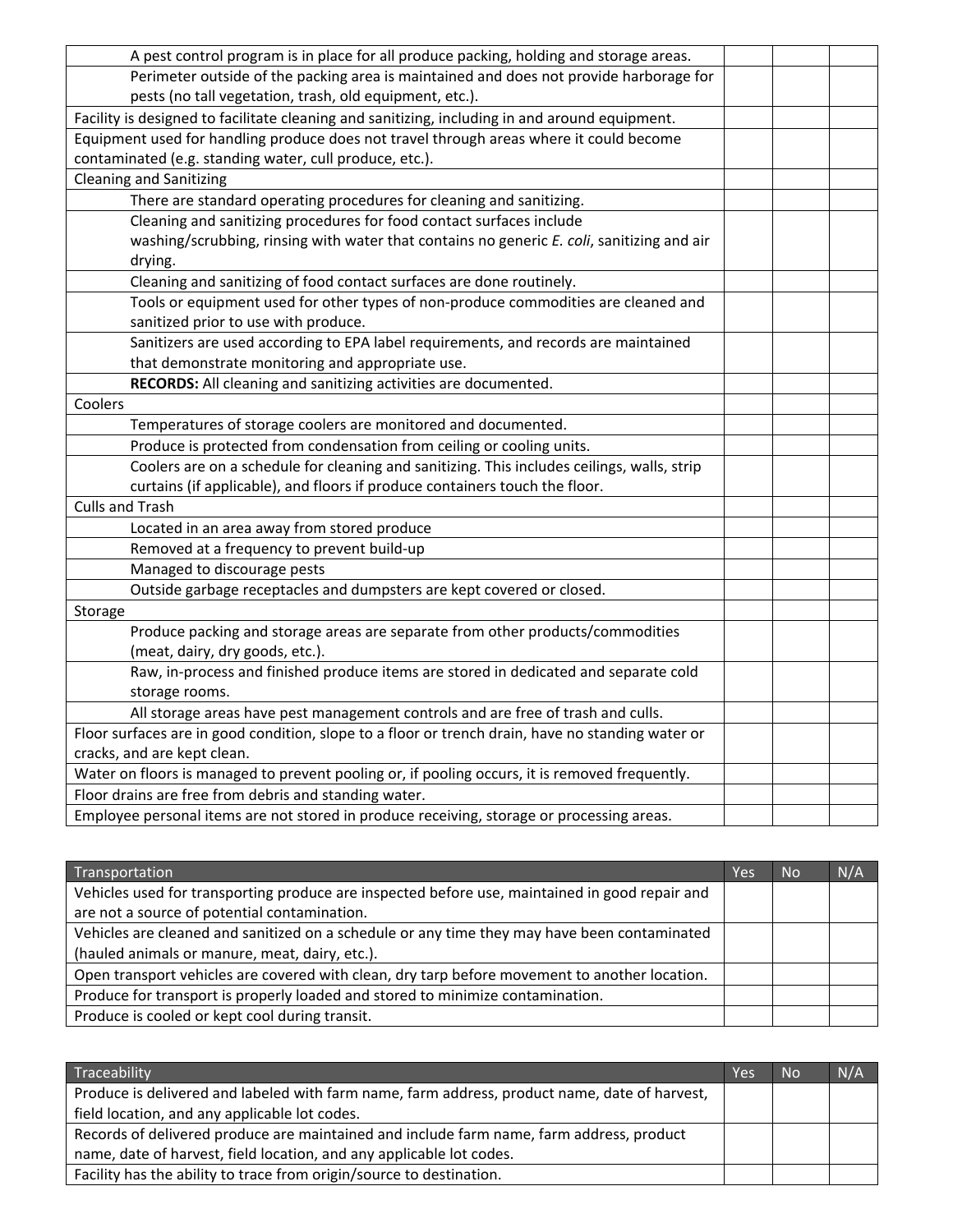| A pest control program is in place for all produce packing, holding and storage areas.            |  |
|---------------------------------------------------------------------------------------------------|--|
| Perimeter outside of the packing area is maintained and does not provide harborage for            |  |
| pests (no tall vegetation, trash, old equipment, etc.).                                           |  |
| Facility is designed to facilitate cleaning and sanitizing, including in and around equipment.    |  |
| Equipment used for handling produce does not travel through areas where it could become           |  |
| contaminated (e.g. standing water, cull produce, etc.).                                           |  |
| <b>Cleaning and Sanitizing</b>                                                                    |  |
| There are standard operating procedures for cleaning and sanitizing.                              |  |
| Cleaning and sanitizing procedures for food contact surfaces include                              |  |
| washing/scrubbing, rinsing with water that contains no generic E. coli, sanitizing and air        |  |
| drying.                                                                                           |  |
| Cleaning and sanitizing of food contact surfaces are done routinely.                              |  |
| Tools or equipment used for other types of non-produce commodities are cleaned and                |  |
| sanitized prior to use with produce.                                                              |  |
| Sanitizers are used according to EPA label requirements, and records are maintained               |  |
| that demonstrate monitoring and appropriate use.                                                  |  |
| RECORDS: All cleaning and sanitizing activities are documented.                                   |  |
| Coolers                                                                                           |  |
| Temperatures of storage coolers are monitored and documented.                                     |  |
| Produce is protected from condensation from ceiling or cooling units.                             |  |
| Coolers are on a schedule for cleaning and sanitizing. This includes ceilings, walls, strip       |  |
| curtains (if applicable), and floors if produce containers touch the floor.                       |  |
| <b>Culls and Trash</b>                                                                            |  |
| Located in an area away from stored produce                                                       |  |
| Removed at a frequency to prevent build-up                                                        |  |
| Managed to discourage pests                                                                       |  |
| Outside garbage receptacles and dumpsters are kept covered or closed.                             |  |
| Storage                                                                                           |  |
| Produce packing and storage areas are separate from other products/commodities                    |  |
| (meat, dairy, dry goods, etc.).                                                                   |  |
| Raw, in-process and finished produce items are stored in dedicated and separate cold              |  |
| storage rooms.                                                                                    |  |
| All storage areas have pest management controls and are free of trash and culls.                  |  |
| Floor surfaces are in good condition, slope to a floor or trench drain, have no standing water or |  |
| cracks, and are kept clean.                                                                       |  |
| Water on floors is managed to prevent pooling or, if pooling occurs, it is removed frequently.    |  |
| Floor drains are free from debris and standing water.                                             |  |
| Employee personal items are not stored in produce receiving, storage or processing areas.         |  |

| Transportation                                                                                 | Yes | <b>No</b> | N/A |
|------------------------------------------------------------------------------------------------|-----|-----------|-----|
| Vehicles used for transporting produce are inspected before use, maintained in good repair and |     |           |     |
| are not a source of potential contamination.                                                   |     |           |     |
| Vehicles are cleaned and sanitized on a schedule or any time they may have been contaminated   |     |           |     |
| (hauled animals or manure, meat, dairy, etc.).                                                 |     |           |     |
| Open transport vehicles are covered with clean, dry tarp before movement to another location.  |     |           |     |
| Produce for transport is properly loaded and stored to minimize contamination.                 |     |           |     |
| Produce is cooled or kept cool during transit.                                                 |     |           |     |

| Traceability                                                                                  | Yes | <b>No</b> | N/A |
|-----------------------------------------------------------------------------------------------|-----|-----------|-----|
| Produce is delivered and labeled with farm name, farm address, product name, date of harvest, |     |           |     |
| field location, and any applicable lot codes.                                                 |     |           |     |
| Records of delivered produce are maintained and include farm name, farm address, product      |     |           |     |
| name, date of harvest, field location, and any applicable lot codes.                          |     |           |     |
| Facility has the ability to trace from origin/source to destination.                          |     |           |     |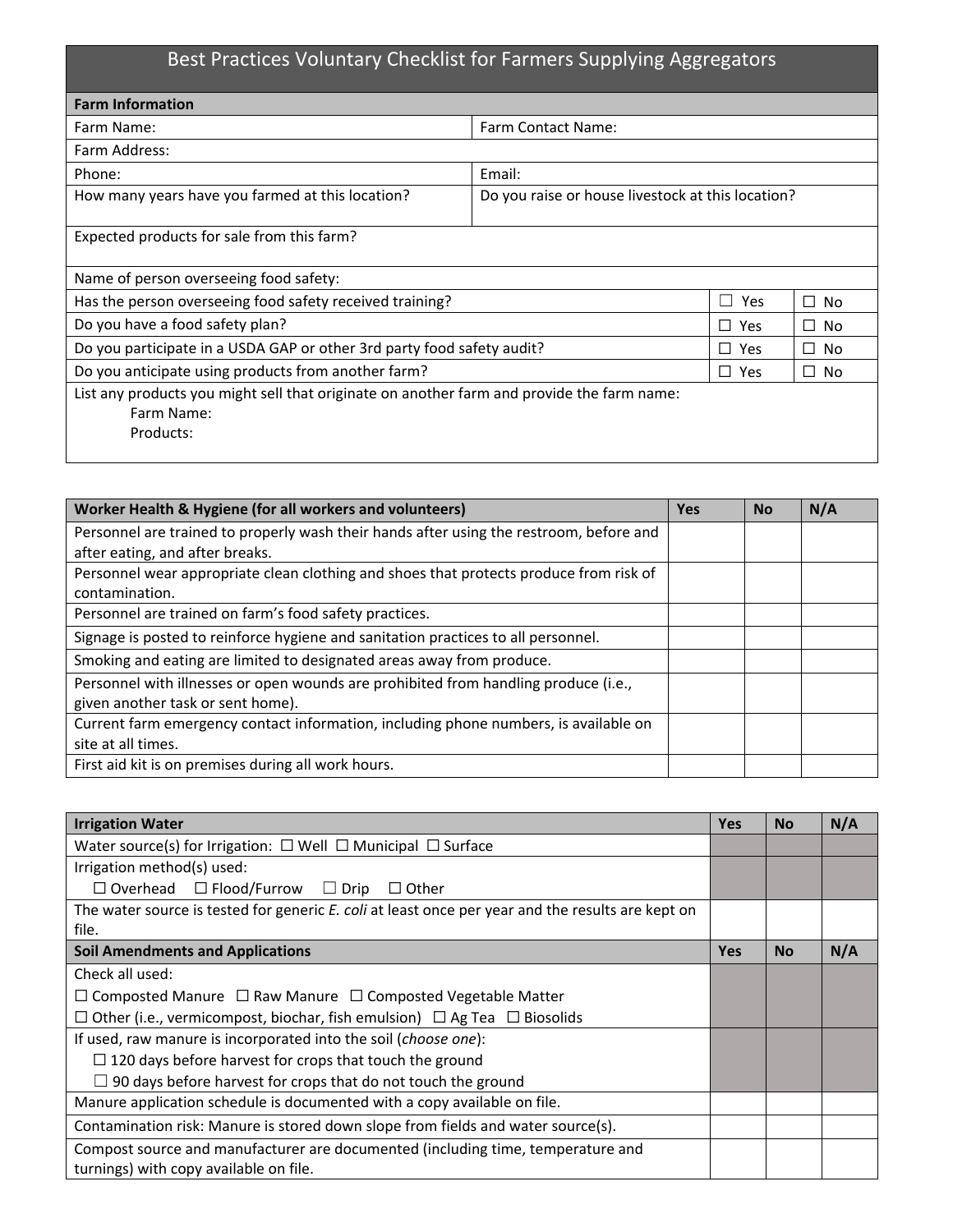# Best Practices Voluntary Checklist for Farmers Supplying Aggregators

| <b>Farm Information</b>                                                                                               |                                                   |            |             |
|-----------------------------------------------------------------------------------------------------------------------|---------------------------------------------------|------------|-------------|
| Farm Name:                                                                                                            | <b>Farm Contact Name:</b>                         |            |             |
| Farm Address:                                                                                                         |                                                   |            |             |
| Phone:                                                                                                                | Email:                                            |            |             |
| How many years have you farmed at this location?                                                                      | Do you raise or house livestock at this location? |            |             |
| Expected products for sale from this farm?                                                                            |                                                   |            |             |
| Name of person overseeing food safety:                                                                                |                                                   |            |             |
| Has the person overseeing food safety received training?                                                              | Yes<br>No<br>$\mathsf{L}$                         |            |             |
| Do you have a food safety plan?<br>$\Box$ Yes<br>$\Box$ No                                                            |                                                   |            |             |
| Do you participate in a USDA GAP or other 3rd party food safety audit?<br>$\Box$ Yes<br>□ No                          |                                                   |            |             |
| Do you anticipate using products from another farm?                                                                   |                                                   | $\Box$ Yes | $\sqcup$ No |
| List any products you might sell that originate on another farm and provide the farm name:<br>Farm Name:<br>Products: |                                                   |            |             |

| Worker Health & Hygiene (for all workers and volunteers)                                | <b>Yes</b> | <b>No</b> | N/A |
|-----------------------------------------------------------------------------------------|------------|-----------|-----|
| Personnel are trained to properly wash their hands after using the restroom, before and |            |           |     |
| after eating, and after breaks.                                                         |            |           |     |
| Personnel wear appropriate clean clothing and shoes that protects produce from risk of  |            |           |     |
| contamination.                                                                          |            |           |     |
| Personnel are trained on farm's food safety practices.                                  |            |           |     |
| Signage is posted to reinforce hygiene and sanitation practices to all personnel.       |            |           |     |
| Smoking and eating are limited to designated areas away from produce.                   |            |           |     |
| Personnel with illnesses or open wounds are prohibited from handling produce (i.e.,     |            |           |     |
| given another task or sent home).                                                       |            |           |     |
| Current farm emergency contact information, including phone numbers, is available on    |            |           |     |
| site at all times.                                                                      |            |           |     |
| First aid kit is on premises during all work hours.                                     |            |           |     |

| <b>Irrigation Water</b>                                                                           | <b>Yes</b> | <b>No</b> | N/A |
|---------------------------------------------------------------------------------------------------|------------|-----------|-----|
| Water source(s) for Irrigation: $\Box$ Well $\Box$ Municipal $\Box$ Surface                       |            |           |     |
| Irrigation method(s) used:                                                                        |            |           |     |
| $\Box$ Overhead $\Box$ Flood/Furrow $\Box$ Drip<br>$\Box$ Other                                   |            |           |     |
| The water source is tested for generic E. coli at least once per year and the results are kept on |            |           |     |
| file.                                                                                             |            |           |     |
| <b>Soil Amendments and Applications</b>                                                           | <b>Yes</b> | <b>No</b> | N/A |
| Check all used:                                                                                   |            |           |     |
| $\Box$ Composted Manure $\Box$ Raw Manure $\Box$ Composted Vegetable Matter                       |            |           |     |
| $\Box$ Other (i.e., vermicompost, biochar, fish emulsion) $\Box$ Ag Tea $\Box$ Biosolids          |            |           |     |
| If used, raw manure is incorporated into the soil (choose one):                                   |            |           |     |
| $\Box$ 120 days before harvest for crops that touch the ground                                    |            |           |     |
| $\Box$ 90 days before harvest for crops that do not touch the ground                              |            |           |     |
| Manure application schedule is documented with a copy available on file.                          |            |           |     |
| Contamination risk: Manure is stored down slope from fields and water source(s).                  |            |           |     |
| Compost source and manufacturer are documented (including time, temperature and                   |            |           |     |
| turnings) with copy available on file.                                                            |            |           |     |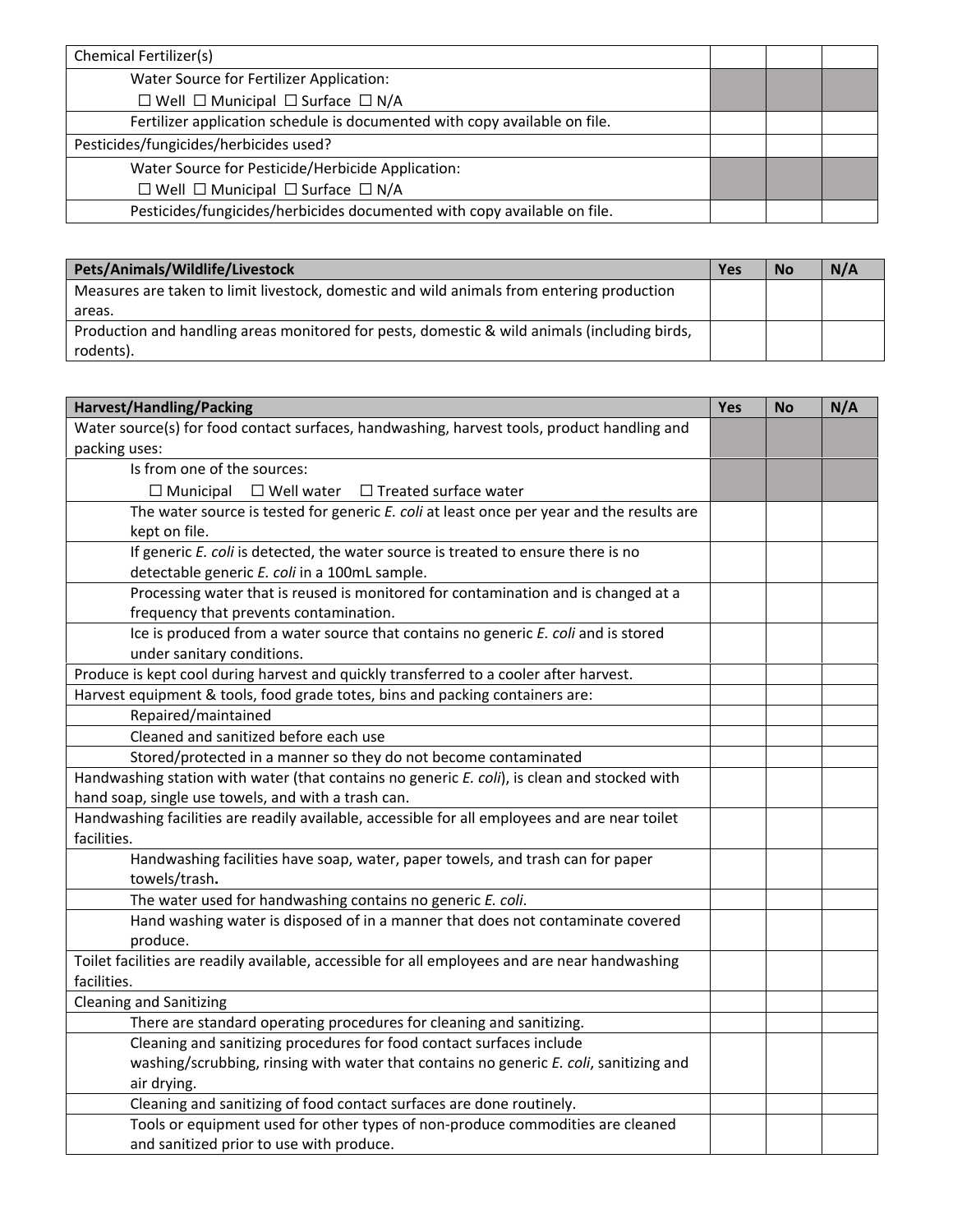| <b>Chemical Fertilizer(s)</b>                                              |  |  |
|----------------------------------------------------------------------------|--|--|
| Water Source for Fertilizer Application:                                   |  |  |
| $\Box$ Well $\Box$ Municipal $\Box$ Surface $\Box$ N/A                     |  |  |
| Fertilizer application schedule is documented with copy available on file. |  |  |
| Pesticides/fungicides/herbicides used?                                     |  |  |
| Water Source for Pesticide/Herbicide Application:                          |  |  |
| $\Box$ Well $\Box$ Municipal $\Box$ Surface $\Box$ N/A                     |  |  |
| Pesticides/fungicides/herbicides documented with copy available on file.   |  |  |

| Pets/Animals/Wildlife/Livestock                                                              |  | <b>No</b> | N/A |
|----------------------------------------------------------------------------------------------|--|-----------|-----|
| Measures are taken to limit livestock, domestic and wild animals from entering production    |  |           |     |
| areas.                                                                                       |  |           |     |
| Production and handling areas monitored for pests, domestic & wild animals (including birds, |  |           |     |
| rodents).                                                                                    |  |           |     |

| <b>Harvest/Handling/Packing</b>                                                                 | Yes | <b>No</b> | N/A |
|-------------------------------------------------------------------------------------------------|-----|-----------|-----|
| Water source(s) for food contact surfaces, handwashing, harvest tools, product handling and     |     |           |     |
| packing uses:                                                                                   |     |           |     |
| Is from one of the sources:                                                                     |     |           |     |
| $\Box$ Municipal $\Box$ Well water<br>$\Box$ Treated surface water                              |     |           |     |
| The water source is tested for generic E. coli at least once per year and the results are       |     |           |     |
| kept on file.                                                                                   |     |           |     |
| If generic E. coli is detected, the water source is treated to ensure there is no               |     |           |     |
| detectable generic E. coli in a 100mL sample.                                                   |     |           |     |
| Processing water that is reused is monitored for contamination and is changed at a              |     |           |     |
| frequency that prevents contamination.                                                          |     |           |     |
| Ice is produced from a water source that contains no generic E. coli and is stored              |     |           |     |
| under sanitary conditions.                                                                      |     |           |     |
| Produce is kept cool during harvest and quickly transferred to a cooler after harvest.          |     |           |     |
| Harvest equipment & tools, food grade totes, bins and packing containers are:                   |     |           |     |
| Repaired/maintained                                                                             |     |           |     |
| Cleaned and sanitized before each use                                                           |     |           |     |
| Stored/protected in a manner so they do not become contaminated                                 |     |           |     |
| Handwashing station with water (that contains no generic E. coli), is clean and stocked with    |     |           |     |
| hand soap, single use towels, and with a trash can.                                             |     |           |     |
| Handwashing facilities are readily available, accessible for all employees and are near toilet  |     |           |     |
| facilities.                                                                                     |     |           |     |
| Handwashing facilities have soap, water, paper towels, and trash can for paper<br>towels/trash. |     |           |     |
| The water used for handwashing contains no generic E. coli.                                     |     |           |     |
| Hand washing water is disposed of in a manner that does not contaminate covered<br>produce.     |     |           |     |
| Toilet facilities are readily available, accessible for all employees and are near handwashing  |     |           |     |
| facilities.                                                                                     |     |           |     |
| <b>Cleaning and Sanitizing</b>                                                                  |     |           |     |
| There are standard operating procedures for cleaning and sanitizing.                            |     |           |     |
| Cleaning and sanitizing procedures for food contact surfaces include                            |     |           |     |
| washing/scrubbing, rinsing with water that contains no generic E. coli, sanitizing and          |     |           |     |
| air drying.                                                                                     |     |           |     |
| Cleaning and sanitizing of food contact surfaces are done routinely.                            |     |           |     |
| Tools or equipment used for other types of non-produce commodities are cleaned                  |     |           |     |
| and sanitized prior to use with produce.                                                        |     |           |     |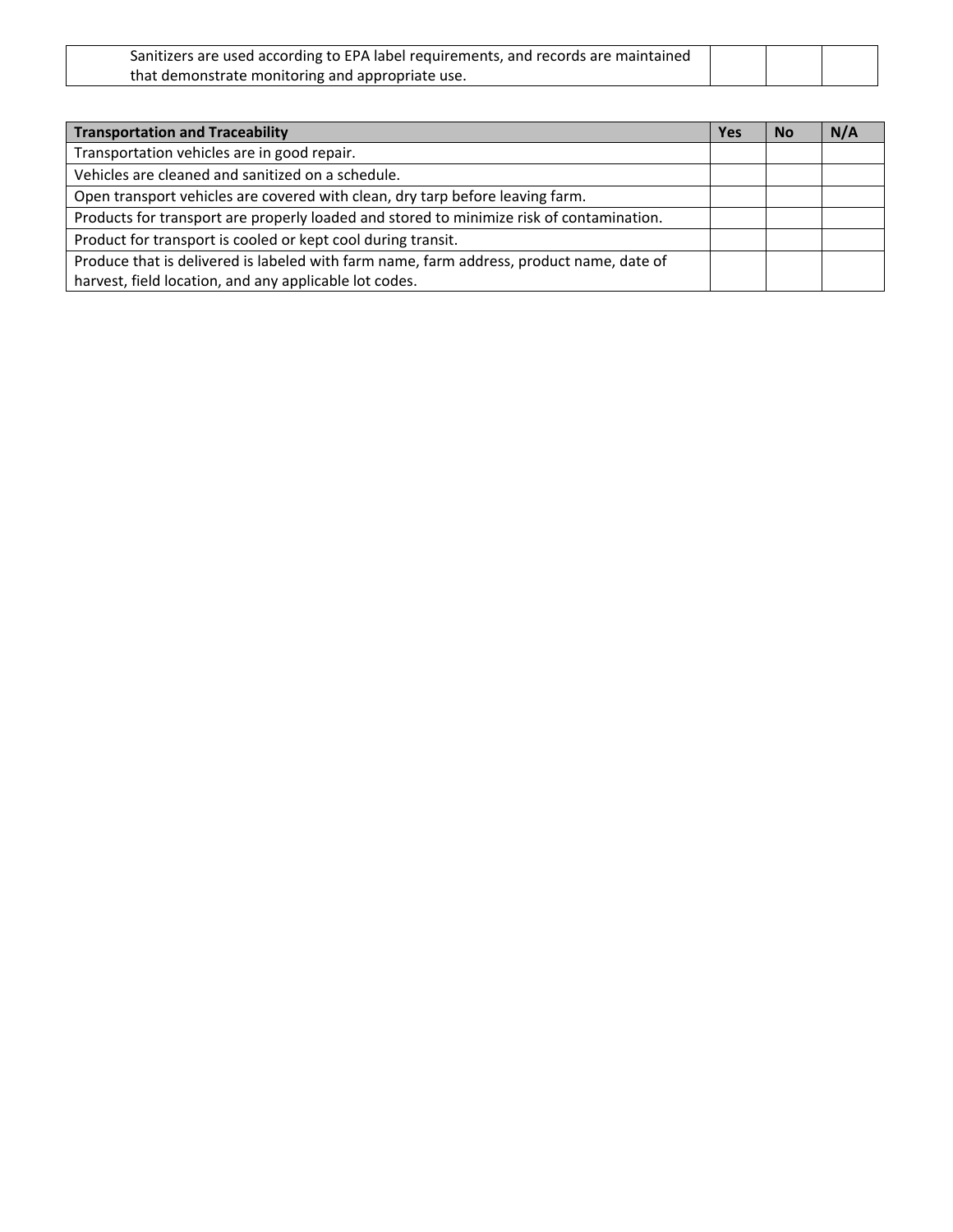| Sanitizers are used according to EPA label requirements, and records are maintained |  |  |
|-------------------------------------------------------------------------------------|--|--|
| that demonstrate monitoring and appropriate use.                                    |  |  |

| <b>Transportation and Traceability</b>                                                   | Yes | <b>No</b> | N/A |
|------------------------------------------------------------------------------------------|-----|-----------|-----|
| Transportation vehicles are in good repair.                                              |     |           |     |
| Vehicles are cleaned and sanitized on a schedule.                                        |     |           |     |
| Open transport vehicles are covered with clean, dry tarp before leaving farm.            |     |           |     |
| Products for transport are properly loaded and stored to minimize risk of contamination. |     |           |     |
| Product for transport is cooled or kept cool during transit.                             |     |           |     |
| Produce that is delivered is labeled with farm name, farm address, product name, date of |     |           |     |
| harvest, field location, and any applicable lot codes.                                   |     |           |     |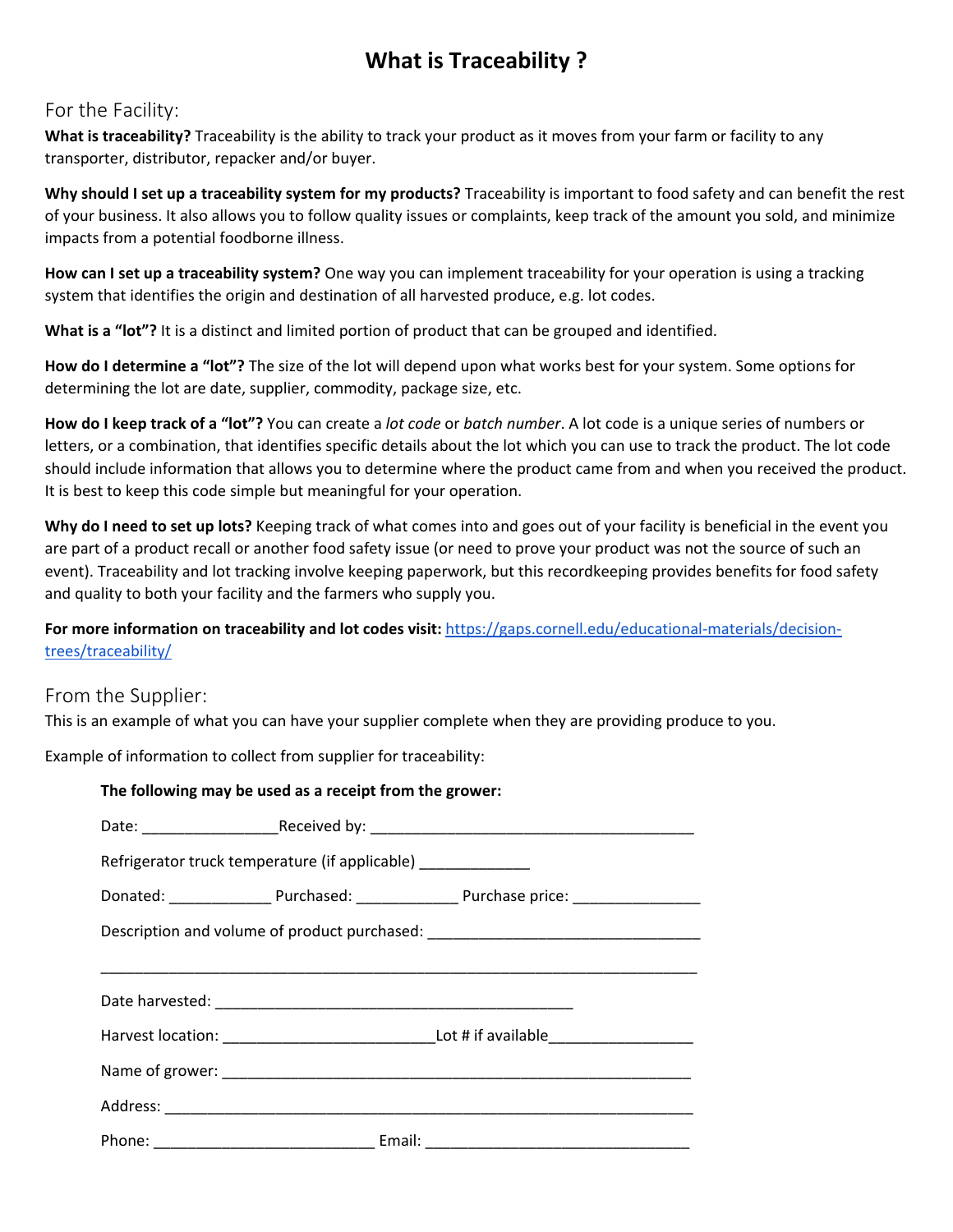### **What is Traceability ?**

#### For the Facility:

**What is traceability?** Traceability is the ability to track your product as it moves from your farm or facility to any transporter, distributor, repacker and/or buyer.

**Why should I set up a traceability system for my products?** Traceability is important to food safety and can benefit the rest of your business. It also allows you to follow quality issues or complaints, keep track of the amount you sold, and minimize impacts from a potential foodborne illness.

**How can I set up a traceability system?** One way you can implement traceability for your operation is using a tracking system that identifies the origin and destination of all harvested produce, e.g. lot codes.

**What is a "lot"?** It is a distinct and limited portion of product that can be grouped and identified.

**How do I determine a "lot"?** The size of the lot will depend upon what works best for your system. Some options for determining the lot are date, supplier, commodity, package size, etc.

**How do I keep track of a "lot"?** You can create a *lot code* or *batch number*. A lot code is a unique series of numbers or letters, or a combination, that identifies specific details about the lot which you can use to track the product. The lot code should include information that allows you to determine where the product came from and when you received the product. It is best to keep this code simple but meaningful for your operation.

**Why do I need to set up lots?** Keeping track of what comes into and goes out of your facility is beneficial in the event you are part of a product recall or another food safety issue (or need to prove your product was not the source of such an event). Traceability and lot tracking involve keeping paperwork, but this recordkeeping provides benefits for food safety and quality to both your facility and the farmers who supply you.

#### **For more information on traceability and lot codes visit:** https://gaps.cornell.edu/educational‐materials/decision‐ trees/traceability/

#### From the Supplier:

This is an example of what you can have your supplier complete when they are providing produce to you.

Example of information to collect from supplier for traceability:

| The following may be used as a receipt from the grower:                          |
|----------------------------------------------------------------------------------|
|                                                                                  |
| Refrigerator truck temperature (if applicable) _____________                     |
|                                                                                  |
| Description and volume of product purchased: ___________________________________ |
|                                                                                  |
|                                                                                  |
|                                                                                  |
|                                                                                  |
|                                                                                  |
|                                                                                  |
|                                                                                  |